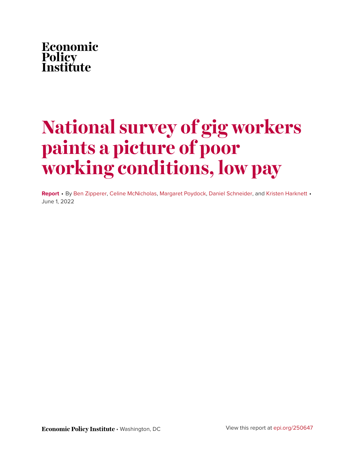

# **National survey of gig workers paints a picture of poor working conditions, low pay**

**Report** • By [Ben Zipperer](https://www.epi.org/people/ben-zipperer/), [Celine McNicholas](https://www.epi.org/people/celine-mcnicholas/), [Margaret Poydock](https://www.epi.org/people/margaret-poydock/), [Daniel Schneider](https://www.epi.org/people/daniel-schneider/), and [Kristen Harknett](https://www.epi.org/people/kristen-harknett/) • June 1, 2022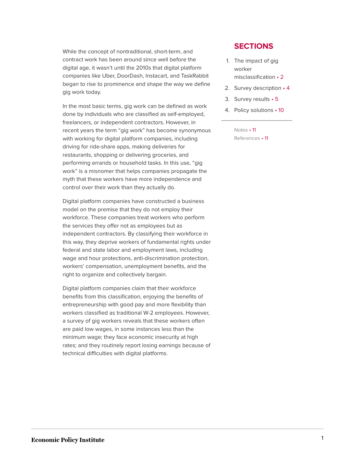While the concept of nontraditional, short-term, and contract work has been around since well before the digital age, it wasn't until the 2010s that digital platform companies like Uber, DoorDash, Instacart, and TaskRabbit began to rise to prominence and shape the way we define gig work today.

In the most basic terms, gig work can be defined as work done by individuals who are classified as self-employed, freelancers, or independent contractors. However, in recent years the term "gig work" has become synonymous with working for digital platform companies, including driving for ride-share apps, making deliveries for restaurants, shopping or delivering groceries, and performing errands or household tasks. In this use, "gig work" is a misnomer that helps companies propagate the myth that these workers have more independence and control over their work than they actually do.

Digital platform companies have constructed a business model on the premise that they do not employ their workforce. These companies treat workers who perform the services they offer not as employees but as independent contractors. By classifying their workforce in this way, they deprive workers of fundamental rights under federal and state labor and employment laws, including wage and hour protections, anti-discrimination protection, workers' compensation, unemployment benefits, and the right to organize and collectively bargain.

Digital platform companies claim that their workforce benefits from this classification, enjoying the benefits of entrepreneurship with good pay and more flexibility than workers classified as traditional W-2 employees. However, a survey of gig workers reveals that these workers often are paid low wages, in some instances less than the minimum wage; they face economic insecurity at high rates; and they routinely report losing earnings because of technical difficulties with digital platforms.

#### **SECTIONS**

- 1. [The impact of gig](#page-2-0) [worker](#page-2-0) [misclassification](#page-2-0) • 2
- 2. [Survey description](#page-4-0) 4
- 3. [Survey results](#page-5-0) 5
- 4. [Policy solutions](#page-10-0) 10
	- [Notes](#page-11-0) 11 [References](#page-11-1) • 11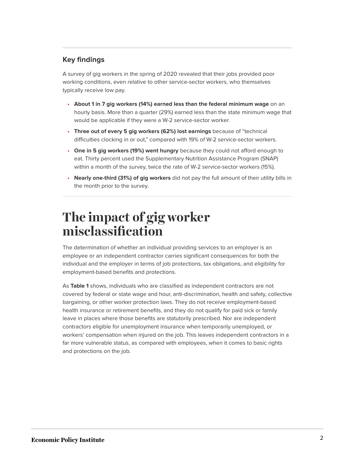### **Key findings**

A survey of gig workers in the spring of 2020 revealed that their jobs provided poor working conditions, even relative to other service-sector workers, who themselves typically receive low pay.

- **About 1 in 7 gig workers (14%) earned less than the federal minimum wage** on an hourly basis. More than a quarter (29%) earned less than the state minimum wage that would be applicable if they were a W-2 service-sector worker.
- **Three out of every 5 gig workers (62%) lost earnings** because of "technical difficulties clocking in or out," compared with 19% of W-2 service-sector workers.
- **One in 5 gig workers (19%) went hungry** because they could not afford enough to eat. Thirty percent used the Supplementary Nutrition Assistance Program (SNAP) within a month of the survey, twice the rate of W-2 service-sector workers (15%).
- **Nearly one-third (31%) of gig workers** did not pay the full amount of their utility bills in the month prior to the survey.

### <span id="page-2-0"></span>**The impact of gig worker misclassification**

The determination of whether an individual providing services to an employer is an employee or an independent contractor carries significant consequences for both the individual and the employer in terms of job protections, tax obligations, and eligibility for employment-based benefits and protections.

As **Table 1** shows, individuals who are classified as independent contractors are not covered by federal or state wage and hour, anti-discrimination, health and safety, collective bargaining, or other worker protection laws. They do not receive employment-based health insurance or retirement benefits, and they do not qualify for paid sick or family leave in places where those benefits are statutorily prescribed. Nor are independent contractors eligible for unemployment insurance when temporarily unemployed, or workers' compensation when injured on the job. This leaves independent contractors in a far more vulnerable status, as compared with employees, when it comes to basic rights and protections on the job.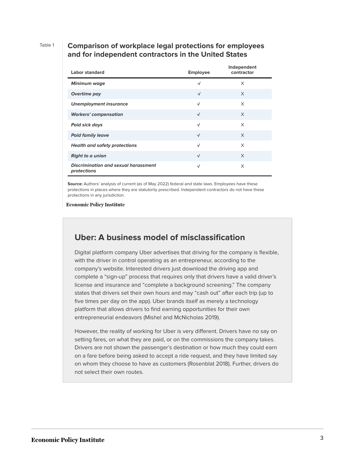#### Table 1 **Comparison of workplace legal protections for employees and for independent contractors in the United States**

| <b>Labor standard</b>                                      | <b>Employee</b> | Independent<br>contractor |
|------------------------------------------------------------|-----------------|---------------------------|
| <b>Minimum wage</b>                                        | √               | X                         |
| Overtime pay                                               | $\sqrt{ }$      | $\times$                  |
| <b>Unemployment insurance</b>                              | √               | X                         |
| <b>Workers' compensation</b>                               | $\sqrt{ }$      | $\times$                  |
| <b>Paid sick days</b>                                      | √               | X                         |
| <b>Paid family leave</b>                                   | $\sqrt{ }$      | $\times$                  |
| <b>Health and safety protections</b>                       | $\sqrt{ }$      | X                         |
| <b>Right to a union</b>                                    | $\sqrt{ }$      | $\times$                  |
| <b>Discrimination and sexual harassment</b><br>protections | √               | X                         |

**Source:** Authors' analysis of current (as of May 2022) federal and state laws. Employees have these protections in places where they are statutorily prescribed. Independent contractors do not have these protections in any jurisdiction.

**Economic Policy Institute** 

### **Uber: A business model of misclassification**

Digital platform company Uber advertises that driving for the company is flexible, with the driver in control operating as an entrepreneur, according to the company's website. Interested drivers just download the driving app and complete a "sign-up" process that requires only that drivers have a valid driver's license and insurance and "complete a background screening." The company states that drivers set their own hours and may "cash out" after each trip (up to five times per day on the app). Uber brands itself as merely a technology platform that allows drivers to find earning opportunities for their own entrepreneurial endeavors (Mishel and McNicholas 2019).

However, the reality of working for Uber is very different. Drivers have no say on setting fares, on what they are paid, or on the commissions the company takes. Drivers are not shown the passenger's destination or how much they could earn on a fare before being asked to accept a ride request, and they have limited say on whom they choose to have as customers (Rosenblat 2018). Further, drivers do not select their own routes.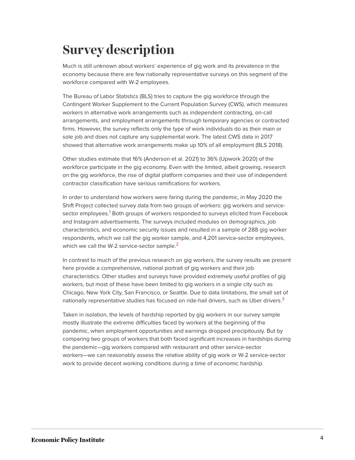## <span id="page-4-0"></span>**Survey description**

Much is still unknown about workers' experience of gig work and its prevalence in the economy because there are few nationally representative surveys on this segment of the workforce compared with W-2 employees.

The Bureau of Labor Statistics (BLS) tries to capture the gig workforce through the Contingent Worker Supplement to the Current Population Survey (CWS), which measures workers in alternative work arrangements such as independent contracting, on-call arrangements, and employment arrangements through temporary agencies or contracted firms. However, the survey reflects only the type of work individuals do as their main or sole job and does not capture any supplemental work. The latest CWS data in 2017 showed that alternative work arrangements make up 10% of all employment (BLS 2018).

Other studies estimate that 16% (Anderson et al. 2021) to 36% (Upwork 2020) of the workforce participate in the gig economy. Even with the limited, albeit growing, research on the gig workforce, the rise of digital platform companies and their use of independent contractor classification have serious ramifications for workers.

<span id="page-4-1"></span>In order to understand how workers were faring during the pandemic, in May 2020 the Shift Project collected survey data from two groups of workers: gig workers and service-sector employees.<sup>[1](#page-11-2)</sup> Both groups of workers responded to surveys elicited from Facebook and Instagram advertisements. The surveys included modules on demographics, job characteristics, and economic security issues and resulted in a sample of 288 gig worker respondents, which we call the gig worker sample, and 4,201 service-sector employees, which we call the W-[2](#page-11-3) service-sector sample. $^{\mathsf{2}}$ 

<span id="page-4-2"></span>In contrast to much of the previous research on gig workers, the survey results we present here provide a comprehensive, national portrait of gig workers and their job characteristics. Other studies and surveys have provided extremely useful profiles of gig workers, but most of these have been limited to gig workers in a single city such as Chicago, New York City, San Francisco, or Seattle. Due to data limitations, the small set of nationally representative studies has focused on ride-hail drivers, such as Uber drivers. $3$ 

<span id="page-4-3"></span>Taken in isolation, the levels of hardship reported by gig workers in our survey sample mostly illustrate the extreme difficulties faced by workers at the beginning of the pandemic, when employment opportunities and earnings dropped precipitously. But by comparing two groups of workers that both faced significant increases in hardships during the pandemic—gig workers compared with restaurant and other service-sector workers—we can reasonably assess the relative ability of gig work or W-2 service-sector work to provide decent working conditions during a time of economic hardship.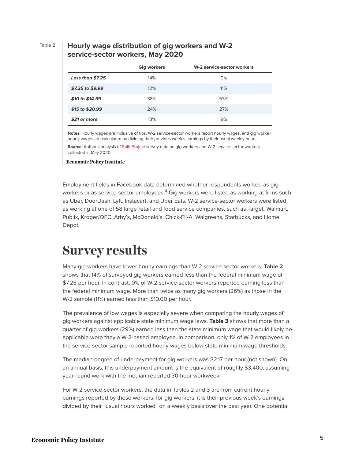#### Table 2 **Hourly wage distribution of gig workers and W-2 service-sector workers, May 2020**

|                    | <b>Gig workers</b> | W-2 service-sector workers |
|--------------------|--------------------|----------------------------|
| Less than \$7.25   | 14%                | 0%                         |
| $$7.25$ to $$9.99$ | 12%                | 11%                        |
| \$10 to \$14.99    | 38%                | 53%                        |
| \$15 to \$20.99    | 24%                | 27%                        |
| \$21 or more       | 13%                | 9%                         |

**Notes:** Hourly wages are inclusive of tips. W-2 service-sector workers report hourly wages, and gig worker hourly wages are calculated by dividing their previous week's earnings by their usual weekly hours.

**Source:** Authors' analysis of [Shift Project](https://shift.hks.harvard.edu/) survey data on gig workers and W-2 service-sector workers collected in May 2020.

#### **Economic Policy Institute**

<span id="page-5-1"></span>Employment fields in Facebook data determined whether respondents worked as gig workers or as service-sector employees.<sup>[4](#page-11-5)</sup> Gig workers were listed as working at firms such as Uber, DoorDash, Lyft, Instacart, and Uber Eats. W-2 service-sector workers were listed as working at one of 58 large retail and food service companies, such as Target, Walmart, Publix, Kroger/QFC, Arby's, McDonald's, Chick-Fil-A, Walgreens, Starbucks, and Home Depot.

### <span id="page-5-0"></span>**Survey results**

Many gig workers have lower hourly earnings than W-2 service-sector workers. **Table 2** shows that 14% of surveyed gig workers earned less than the federal minimum wage of \$7.25 per hour. In contrast, 0% of W-2 service-sector workers reported earning less than the federal minimum wage. More than twice as many gig workers (26%) as those in the W-2 sample (11%) earned less than \$10.00 per hour.

The prevalence of low wages is especially severe when comparing the hourly wages of gig workers against applicable state minimum wage laws. **Table 3** shows that more than a quarter of gig workers (29%) earned less than the state minimum wage that would likely be applicable were they a W-2-based employee. In comparison, only 1% of W-2 employees in the service-sector sample reported hourly wages below state minimum wage thresholds.

The median degree of underpayment for gig workers was \$2.17 per hour (not shown). On an annual basis, this underpayment amount is the equivalent of roughly \$3,400, assuming year-round work with the median-reported 30-hour workweek.

For W-2 service-sector workers, the data in Tables 2 and 3 are from current hourly earnings reported by these workers; for gig workers, it is their previous week's earnings divided by their "usual hours worked" on a weekly basis over the past year. One potential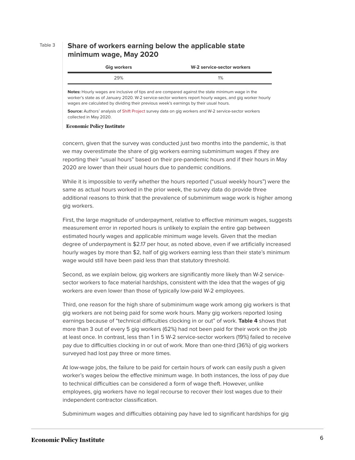#### Table 3 **Share of workers earning below the applicable state minimum wage, May 2020**

| <b>Gig workers</b> | W-2 service-sector workers |
|--------------------|----------------------------|
| 29%                | 1%                         |

**Notes:** Hourly wages are inclusive of tips and are compared against the state minimum wage in the worker's state as of January 2020. W-2 service-sector workers report hourly wages, and gig worker hourly wages are calculated by dividing their previous week's earnings by their usual hours.

**Source:** Authors' analysis of [Shift Project](https://shift.hks.harvard.edu/) survey data on gig workers and W-2 service-sector workers collected in May 2020.

#### **Economic Policy Institute**

concern, given that the survey was conducted just two months into the pandemic, is that we may overestimate the share of gig workers earning subminimum wages if they are reporting their "usual hours" based on their pre-pandemic hours and if their hours in May 2020 are lower than their usual hours due to pandemic conditions.

While it is impossible to verify whether the hours reported ("usual weekly hours") were the same as actual hours worked in the prior week, the survey data do provide three additional reasons to think that the prevalence of subminimum wage work is higher among gig workers.

First, the large magnitude of underpayment, relative to effective minimum wages, suggests measurement error in reported hours is unlikely to explain the entire gap between estimated hourly wages and applicable minimum wage levels. Given that the median degree of underpayment is \$2.17 per hour, as noted above, even if we artificially increased hourly wages by more than \$2, half of gig workers earning less than their state's minimum wage would still have been paid less than that statutory threshold.

Second, as we explain below, gig workers are significantly more likely than W-2 servicesector workers to face material hardships, consistent with the idea that the wages of gig workers are even lower than those of typically low-paid W-2 employees.

Third, one reason for the high share of subminimum wage work among gig workers is that gig workers are not being paid for some work hours. Many gig workers reported losing earnings because of "technical difficulties clocking in or out" of work. **Table 4** shows that more than 3 out of every 5 gig workers (62%) had not been paid for their work on the job at least once. In contrast, less than 1 in 5 W-2 service-sector workers (19%) failed to receive pay due to difficulties clocking in or out of work. More than one-third (36%) of gig workers surveyed had lost pay three or more times.

At low-wage jobs, the failure to be paid for certain hours of work can easily push a given worker's wages below the effective minimum wage. In both instances, the loss of pay due to technical difficulties can be considered a form of wage theft. However, unlike employees, gig workers have no legal recourse to recover their lost wages due to their independent contractor classification.

Subminimum wages and difficulties obtaining pay have led to significant hardships for gig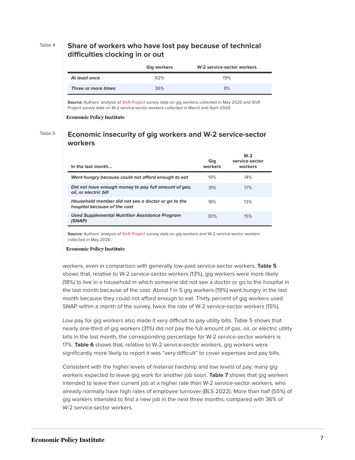#### Table 4 **Share of workers who have lost pay because of technical difficulties clocking in or out**

|                     | <b>Gig workers</b> | W-2 service-sector workers |
|---------------------|--------------------|----------------------------|
| At least once       | 62%                | 19%                        |
| Three or more times | 36%                | 8%                         |

**Source:** Authors' analysis of [Shift Project](https://shift.hks.harvard.edu/) survey data on gig workers collected in May 2020 and Shift Project survey data on W-2 service-sector workers collected in March and April 2020.

**Economic Policy Institute** 

#### Table 5 **Economic insecurity of gig workers and W-2 service-sector workers**

| In the last month                                                                  | Gia<br>workers | $W-2$<br>service-sector<br>workers |
|------------------------------------------------------------------------------------|----------------|------------------------------------|
| Went hungry because could not afford enough to eat                                 | 19%            | 14%                                |
| Did not have enough money to pay full amount of gas,<br>oil, or electric bill      | .31%           | 17%                                |
| Household member did not see a doctor or go to the<br>hospital because of the cost | 18%            | 13%                                |
| <b>Used Supplemental Nutrition Assistance Program</b><br>(SNAP)                    | 30%            | 15%                                |

**Source:** Authors' analysis of [Shift Project](https://shift.hks.harvard.edu/) survey data on gig workers and W-2 service-sector workers collected in May 2020.

#### **Economic Policy Institute**

workers, even in comparison with generally low-paid service-sector workers. **Table 5** shows that, relative to W-2 service-sector workers (13%), gig workers were more likely (18%) to live in a household in which someone did not see a doctor or go to the hospital in the last month because of the cost. About 1 in 5 gig workers (19%) went hungry in the last month because they could not afford enough to eat. Thirty percent of gig workers used SNAP within a month of the survey, twice the rate of W-2 service-sector workers (15%).

Low pay for gig workers also made it very difficult to pay utility bills. Table 5 shows that nearly one-third of gig workers (31%) did not pay the full amount of gas, oil, or electric utility bills in the last month; the corresponding percentage for W-2 service-sector workers is 17%. **Table 6** shows that, relative to W-2 service-sector workers, gig workers were significantly more likely to report it was "very difficult" to cover expenses and pay bills.

Consistent with the higher levels of material hardship and low levels of pay, many gig workers expected to leave gig work for another job soon. **Table 7** shows that gig workers intended to leave their current job at a higher rate than W-2 service-sector workers, who already normally have high rates of employee turnover (BLS 2022). More than half (55%) of gig workers intended to find a new job in the next three months, compared with 36% of W-2 service-sector workers.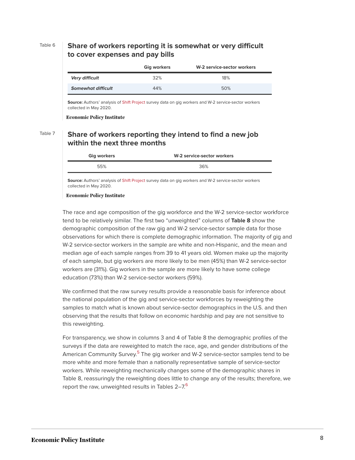#### Table 6 **Share of workers reporting it is somewhat or very difficult to cover expenses and pay bills**

|                           | <b>Gig workers</b> | W-2 service-sector workers |
|---------------------------|--------------------|----------------------------|
| Very difficult            | 32%                | 18%                        |
| <b>Somewhat difficult</b> | 44%                | 50%                        |

**Source:** Authors' analysis of [Shift Project](https://shift.hks.harvard.edu/) survey data on gig workers and W-2 service-sector workers collected in May 2020.

**Economic Policy Institute** 

#### Table 7 **Share of workers reporting they intend to find a new job within the next three months**

| <b>Gig workers</b> | W-2 service-sector workers |  |
|--------------------|----------------------------|--|
| 55%                | 36%                        |  |
|                    |                            |  |

**Source:** Authors' analysis of [Shift Project](https://shift.hks.harvard.edu/) survey data on gig workers and W-2 service-sector workers collected in May 2020.

**Economic Policy Institute** 

The race and age composition of the gig workforce and the W-2 service-sector workforce tend to be relatively similar. The first two "unweighted" columns of **Table 8** show the demographic composition of the raw gig and W-2 service-sector sample data for those observations for which there is complete demographic information. The majority of gig and W-2 service-sector workers in the sample are white and non-Hispanic, and the mean and median age of each sample ranges from 39 to 41 years old. Women make up the majority of each sample, but gig workers are more likely to be men (45%) than W-2 service-sector workers are (31%). Gig workers in the sample are more likely to have some college education (73%) than W-2 service-sector workers (59%).

We confirmed that the raw survey results provide a reasonable basis for inference about the national population of the gig and service-sector workforces by reweighting the samples to match what is known about service-sector demographics in the U.S. and then observing that the results that follow on economic hardship and pay are not sensitive to this reweighting.

<span id="page-8-1"></span><span id="page-8-0"></span>For transparency, we show in columns 3 and 4 of Table 8 the demographic profiles of the surveys if the data are reweighted to match the race, age, and gender distributions of the American Community Survey.<sup>[5](#page-11-6)</sup> The gig worker and W-2 service-sector samples tend to be more white and more female than a nationally representative sample of service-sector workers. While reweighting mechanically changes some of the demographic shares in Table 8, reassuringly the reweighting does little to change any of the results; therefore, we report the raw, unweighted results in Tables 2–7. $^6$  $^6$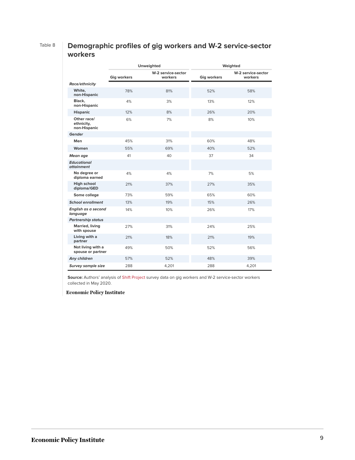### Table 8 **Demographic profiles of gig workers and W-2 service-sector workers**

|                                           | <b>Unweighted</b>  |                               | Weighted           |                               |
|-------------------------------------------|--------------------|-------------------------------|--------------------|-------------------------------|
|                                           | <b>Gig workers</b> | W-2 service-sector<br>workers | <b>Gig workers</b> | W-2 service-sector<br>workers |
| <b>Race/ethnicity</b>                     |                    |                               |                    |                               |
| White.<br>non-Hispanic                    | 78%                | 81%                           | 52%                | 58%                           |
| Black.<br>non-Hispanic                    | 4%                 | 3%                            | 13%                | 12%                           |
| <b>Hispanic</b>                           | 12%                | 8%                            | 26%                | 20%                           |
| Other race/<br>ethnicity,<br>non-Hispanic | 6%                 | 7%                            | 8%                 | 10%                           |
| Gender                                    |                    |                               |                    |                               |
| Men                                       | 45%                | 31%                           | 60%                | 48%                           |
| Women                                     | 55%                | 69%                           | 40%                | 52%                           |
| Mean age                                  | 41                 | 40                            | 37                 | 34                            |
| <b>Educational</b><br>attainment          |                    |                               |                    |                               |
| No degree or<br>diploma earned            | 4%                 | 4%                            | 7%                 | 5%                            |
| <b>High school</b><br>diploma/GED         | 21%                | 37%                           | 27%                | 35%                           |
| Some college                              | 73%                | 59%                           | 65%                | 60%                           |
| <b>School enrollment</b>                  | 13%                | 19%                           | 15%                | 26%                           |
| English as a second<br>language           | 14%                | 10%                           | 26%                | 17%                           |
| <b>Partnership status</b>                 |                    |                               |                    |                               |
| Married, living<br>with spouse            | 27%                | 31%                           | 24%                | 25%                           |
| Living with a<br>partner                  | 21%                | 18%                           | 21%                | 19%                           |
| Not living with a<br>spouse or partner    | 49%                | 50%                           | 52%                | 56%                           |
| Any children                              | 57%                | 52%                           | 48%                | 39%                           |
| <b>Survey sample size</b>                 | 288                | 4,201                         | 288                | 4,201                         |

**Source:** Authors' analysis of [Shift Project](https://shift.hks.harvard.edu/) survey data on gig workers and W-2 service-sector workers collected in May 2020.

#### **Economic Policy Institute**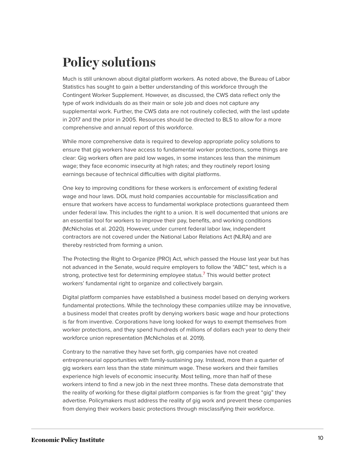### <span id="page-10-0"></span>**Policy solutions**

Much is still unknown about digital platform workers. As noted above, the Bureau of Labor Statistics has sought to gain a better understanding of this workforce through the Contingent Worker Supplement. However, as discussed, the CWS data reflect only the type of work individuals do as their main or sole job and does not capture any supplemental work. Further, the CWS data are not routinely collected, with the last update in 2017 and the prior in 2005. Resources should be directed to BLS to allow for a more comprehensive and annual report of this workforce.

While more comprehensive data is required to develop appropriate policy solutions to ensure that gig workers have access to fundamental worker protections, some things are clear: Gig workers often are paid low wages, in some instances less than the minimum wage; they face economic insecurity at high rates; and they routinely report losing earnings because of technical difficulties with digital platforms.

One key to improving conditions for these workers is enforcement of existing federal wage and hour laws. DOL must hold companies accountable for misclassification and ensure that workers have access to fundamental workplace protections guaranteed them under federal law. This includes the right to a union. It is well documented that unions are an essential tool for workers to improve their pay, benefits, and working conditions (McNicholas et al. 2020). However, under current federal labor law, independent contractors are not covered under the National Labor Relations Act (NLRA) and are thereby restricted from forming a union.

<span id="page-10-1"></span>The Protecting the Right to Organize (PRO) Act, which passed the House last year but has not advanced in the Senate, would require employers to follow the "ABC" test, which is a strong, protective test for determining employee status.<sup>[7](#page-11-8)</sup> This would better protect workers' fundamental right to organize and collectively bargain.

Digital platform companies have established a business model based on denying workers fundamental protections. While the technology these companies utilize may be innovative, a business model that creates profit by denying workers basic wage and hour protections is far from inventive. Corporations have long looked for ways to exempt themselves from worker protections, and they spend hundreds of millions of dollars each year to deny their workforce union representation (McNicholas et al. 2019).

Contrary to the narrative they have set forth, gig companies have not created entrepreneurial opportunities with family-sustaining pay. Instead, more than a quarter of gig workers earn less than the state minimum wage. These workers and their families experience high levels of economic insecurity. Most telling, more than half of these workers intend to find a new job in the next three months. These data demonstrate that the reality of working for these digital platform companies is far from the great "gig" they advertise. Policymakers must address the reality of gig work and prevent these companies from denying their workers basic protections through misclassifying their workforce.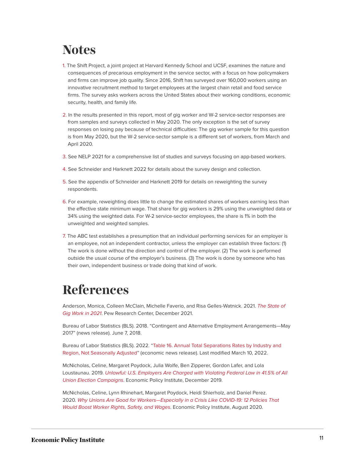### <span id="page-11-0"></span>**Notes**

- <span id="page-11-2"></span>[1.](#page-4-1) The Shift Project, a joint project at Harvard Kennedy School and UCSF, examines the nature and consequences of precarious employment in the service sector, with a focus on how policymakers and firms can improve job quality. Since 2016, Shift has surveyed over 160,000 workers using an innovative recruitment method to target employees at the largest chain retail and food service firms. The survey asks workers across the United States about their working conditions, economic security, health, and family life.
- <span id="page-11-3"></span>[2.](#page-4-2) In the results presented in this report, most of gig worker and W-2 service-sector responses are from samples and surveys collected in May 2020. The only exception is the set of survey responses on losing pay because of technical difficulties: The gig worker sample for this question is from May 2020, but the W-2 service-sector sample is a different set of workers, from March and April 2020.
- <span id="page-11-4"></span>[3.](#page-4-3) See NELP 2021 for a comprehensive list of studies and surveys focusing on app-based workers.
- <span id="page-11-5"></span>[4.](#page-5-1) See Schneider and Harknett 2022 for details about the survey design and collection.
- <span id="page-11-6"></span>[5.](#page-8-0) See the appendix of Schneider and Harknett 2019 for details on reweighting the survey respondents.
- <span id="page-11-7"></span>[6.](#page-8-1) For example, reweighting does little to change the estimated shares of workers earning less than the effective state minimum wage. That share for gig workers is 29% using the unweighted data or 34% using the weighted data. For W-2 service-sector employees, the share is 1% in both the unweighted and weighted samples.
- <span id="page-11-8"></span>[7.](#page-10-1) The ABC test establishes a presumption that an individual performing services for an employer is an employee, not an independent contractor, unless the employer can establish three factors: (1) The work is done without the direction and control of the employer. (2) The work is performed outside the usual course of the employer's business. (3) The work is done by someone who has their own, independent business or trade doing that kind of work.

## <span id="page-11-1"></span>**References**

Anderson, Monica, Colleen McClain, Michelle Faverio, and Risa Gelles-Watnick. 2021. *[The State of](https://www.pewresearch.org/internet/2021/12/08/the-state-of-gig-work-in-2021/) [Gig Work in 2021](https://www.pewresearch.org/internet/2021/12/08/the-state-of-gig-work-in-2021/)*. Pew Research Center, December 2021.

Bureau of Labor Statistics (BLS). 2018. "Contingent and Alternative Employment Arrangements—May 2017" (news release). June 7, 2018.

Bureau of Labor Statistics (BLS). 2022. "[Table 16. Annual Total Separations Rates by Industry and](https://www.bls.gov/news.release/jolts.t16.htm) [Region, Not Seasonally Adjusted"](https://www.bls.gov/news.release/jolts.t16.htm) (economic news release). Last modified March 10, 2022.

McNicholas, Celine, Margaret Poydock, Julia Wolfe, Ben Zipperer, Gordon Lafer, and Lola Loustaunau. 2019. *[Unlawful: U.S. Employers Are Charged with Violating Federal Law in 41.5% of All](https://www.epi.org/publication/unlawful-employer-opposition-to-union-election-campaigns/) [Union Election Campaigns](https://www.epi.org/publication/unlawful-employer-opposition-to-union-election-campaigns/)*. Economic Policy Institute, December 2019.

McNicholas, Celine, Lynn Rhinehart, Margaret Poydock, Heidi Shierholz, and Daniel Perez. 2020. *[Why Unions Are Good for Workers—Especially in a Crisis Like COVID-19: 12 Policies That](https://www.epi.org/publication/why-unions-are-good-for-workers-especially-in-a-crisis-like-covid-19-12-policies-that-would-boost-worker-rights-safety-and-wages/) [Would Boost Worker Rights, Safety, and Wages](https://www.epi.org/publication/why-unions-are-good-for-workers-especially-in-a-crisis-like-covid-19-12-policies-that-would-boost-worker-rights-safety-and-wages/)*. Economic Policy Institute, August 2020.